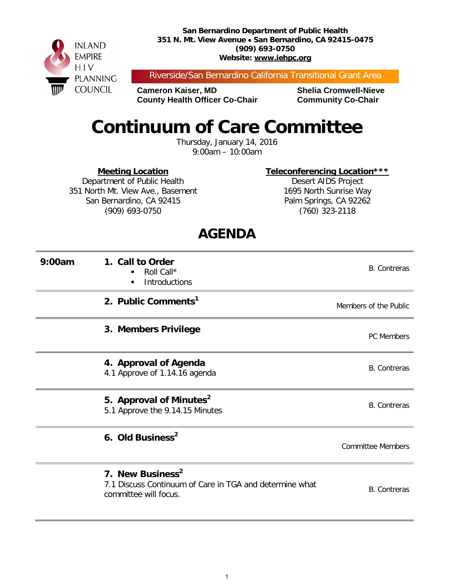**San Bernardino Department of Public Health 351 N. Mt. View Avenue** • **San Bernardino, CA 92415-0475 (909) 693-0750 Website: www.iehpc.org**



Riverside/San Bernardino California Transitional Grant Area

**Cameron Kaiser, MD Shelia Cromwell-Nieve County Health Officer Co-Chair Community Co-Chair** 

# **Continuum of Care Committee**

Thursday, January 14, 2016 9:00am – 10:00am

**Meeting Location**

**Teleconferencing Location\*\*\***

Department of Public Health 351 North Mt. View Ave., Basement San Bernardino, CA 92415 (909) 693-0750

Desert AIDS Project 1695 North Sunrise Way Palm Springs, CA 92262 (760) 323-2118

### **AGENDA**

| 9:00am | 1. Call to Order<br>Roll Call*<br><b>Introductions</b>                                                           | <b>B.</b> Contreras      |
|--------|------------------------------------------------------------------------------------------------------------------|--------------------------|
|        | 2. Public Comments <sup>1</sup>                                                                                  | Members of the Public    |
|        | 3. Members Privilege                                                                                             | <b>PC Members</b>        |
|        | 4. Approval of Agenda<br>4.1 Approve of 1.14.16 agenda                                                           | <b>B.</b> Contreras      |
|        | 5. Approval of Minutes <sup>2</sup><br>5.1 Approve the 9.14.15 Minutes                                           | <b>B.</b> Contreras      |
|        | 6. Old Business <sup>2</sup>                                                                                     | <b>Committee Members</b> |
|        | 7. New Business <sup>2</sup><br>7.1 Discuss Continuum of Care in TGA and determine what<br>committee will focus. | <b>B.</b> Contreras      |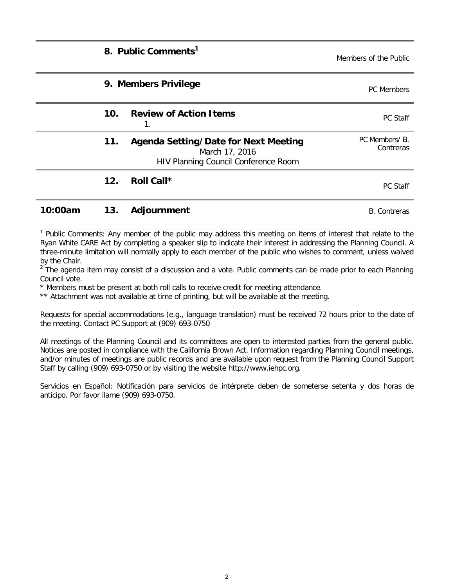|         |     | 8. Public Comments <sup>1</sup>                                                                       | Members of the Public       |
|---------|-----|-------------------------------------------------------------------------------------------------------|-----------------------------|
|         |     | 9. Members Privilege                                                                                  | <b>PC</b> Members           |
|         | 10. | <b>Review of Action Items</b>                                                                         | PC Staff                    |
|         | 11. | <b>Agenda Setting/Date for Next Meeting</b><br>March 17, 2016<br>HIV Planning Council Conference Room | PC Members/ B.<br>Contreras |
|         | 12. | Roll Call*                                                                                            | <b>PC Staff</b>             |
| 10:00am | 13. | Adjournment                                                                                           | <b>B.</b> Contreras         |

 $<sup>1</sup>$  Public Comments: Any member of the public may address this meeting on items of interest that relate to the</sup> Ryan White CARE Act by completing a speaker slip to indicate their interest in addressing the Planning Council. A three-minute limitation will normally apply to each member of the public who wishes to comment, unless waived by the Chair.

 $2\degree$  The agenda item may consist of a discussion and a vote. Public comments can be made prior to each Planning Council vote.

\* Members must be present at both roll calls to receive credit for meeting attendance.

\*\* Attachment was not available at time of printing, but will be available at the meeting.

Requests for special accommodations (e.g., language translation) must be received 72 hours prior to the date of the meeting. Contact PC Support at (909) 693-0750

All meetings of the Planning Council and its committees are open to interested parties from the general public. Notices are posted in compliance with the California Brown Act. Information regarding Planning Council meetings, and/or minutes of meetings are public records and are available upon request from the Planning Council Support Staff by calling (909) 693-0750 or by visiting the website http://www.iehpc.org.

Servicios en Español: Notificación para servicios de intérprete deben de someterse setenta y dos horas de anticipo. Por favor llame (909) 693-0750.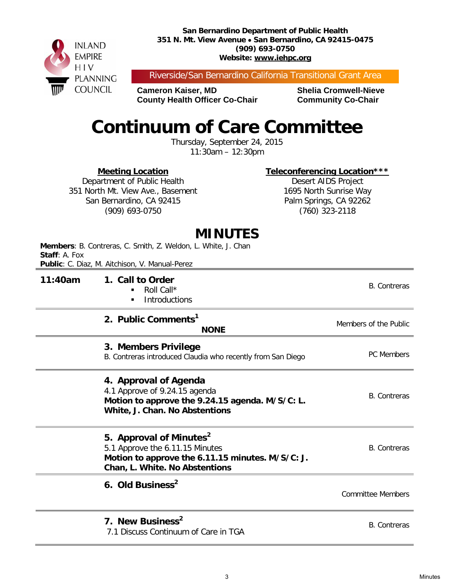**San Bernardino Department of Public Health 351 N. Mt. View Avenue** • **San Bernardino, CA 92415-0475 (909) 693-0750 Website: www.iehpc.org**



Riverside/San Bernardino California Transitional Grant Area

**Cameron Kaiser, MD Shelia Cromwell-Nieve County Health Officer Co-Chair Community Co-Chair** 

# **Continuum of Care Committee**

Thursday, September 24, 2015 11:30am – 12:30pm

**Meeting Location**

**Teleconferencing Location\*\*\***

Department of Public Health 351 North Mt. View Ave., Basement San Bernardino, CA 92415 (909) 693-0750

Desert AIDS Project 1695 North Sunrise Way Palm Springs, CA 92262 (760) 323-2118

#### **MINUTES**

| Staff: A. Fox | Members: B. Contreras, C. Smith, Z. Weldon, L. White, J. Chan<br>Public: C. Diaz, M. Aitchison, V. Manual-Perez                                              |                          |
|---------------|--------------------------------------------------------------------------------------------------------------------------------------------------------------|--------------------------|
| 11:40am       | 1. Call to Order<br>Roll Call*<br>Introductions<br>٠                                                                                                         | <b>B.</b> Contreras      |
|               | 2. Public Comments <sup>1</sup><br><b>NONE</b>                                                                                                               | Members of the Public    |
|               | 3. Members Privilege<br>B. Contreras introduced Claudia who recently from San Diego                                                                          | <b>PC Members</b>        |
|               | 4. Approval of Agenda<br>4.1 Approve of 9.24.15 agenda<br>Motion to approve the 9.24.15 agenda. M/S/C: L.<br>White, J. Chan. No Abstentions                  | <b>B.</b> Contreras      |
|               | 5. Approval of Minutes <sup>2</sup><br>5.1 Approve the 6.11.15 Minutes<br>Motion to approve the 6.11.15 minutes. M/S/C: J.<br>Chan, L. White. No Abstentions | <b>B.</b> Contreras      |
|               | 6. Old Business <sup>2</sup>                                                                                                                                 | <b>Committee Members</b> |
|               | 7. New Business <sup>2</sup><br>7.1 Discuss Continuum of Care in TGA                                                                                         | <b>B.</b> Contreras      |